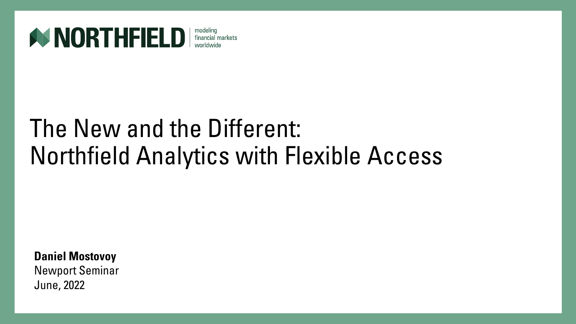

financial markets

### The New and the Different: Northfield Analytics with Flexible Access

**Daniel Mostovoy**

Newport Seminar June, 2022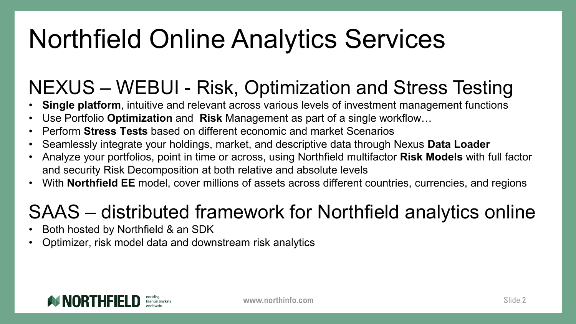# Northfield Online Analytics Services

### NEXUS – WEBUI - Risk, Optimization and Stress Testing

- **Single platform**, intuitive and relevant across various levels of investment management functions
- Use Portfolio **Optimization** and **Risk** Management as part of a single workflow…
- Perform **Stress Tests** based on different economic and market Scenarios
- Seamlessly integrate your holdings, market, and descriptive data through Nexus **Data Loader**
- Analyze your portfolios, point in time or across, using Northfield multifactor **Risk Models** with full factor and security Risk Decomposition at both relative and absolute levels
- With **Northfield EE** model, cover millions of assets across different countries, currencies, and regions

### SAAS – distributed framework for Northfield analytics online

- Both hosted by Northfield & an SDK
- Optimizer, risk model data and downstream risk analytics

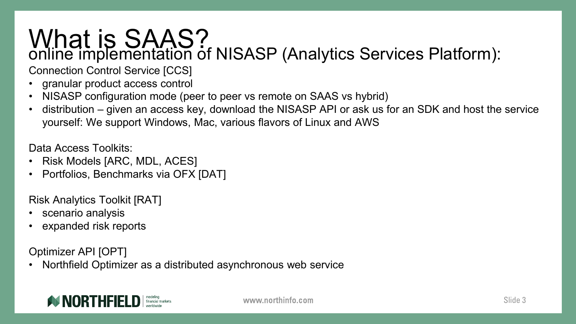# What is SAAS?<br>
online implementation of NISASP (Analytics Services Platform):

Connection Control Service [CCS]

- granular product access control
- NISASP configuration mode (peer to peer vs remote on SAAS vs hybrid)
- distribution given an access key, download the NISASP API or ask us for an SDK and host the service yourself: We support Windows, Mac, various flavors of Linux and AWS

Data Access Toolkits:

- Risk Models [ARC, MDL, ACES]
- Portfolios, Benchmarks via OFX [DAT]

Risk Analytics Toolkit [RAT]

- scenario analysis
- expanded risk reports

Optimizer API [OPT]

• Northfield Optimizer as a distributed asynchronous web service

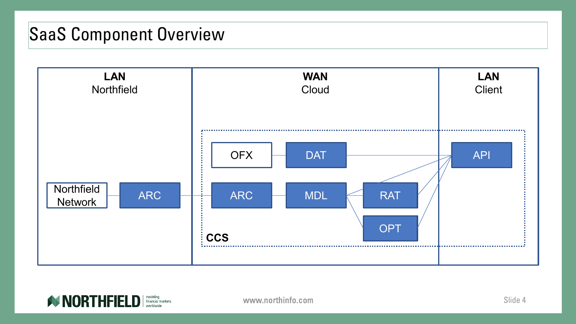### SaaS Component Overview



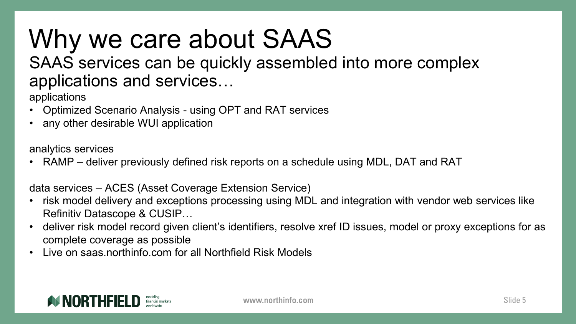# Why we care about SAAS

#### SAAS services can be quickly assembled into more complex applications and services…

applications

- Optimized Scenario Analysis using OPT and RAT services
- any other desirable WUI application

analytics services

• RAMP – deliver previously defined risk reports on a schedule using MDL, DAT and RAT

data services – ACES (Asset Coverage Extension Service)

- risk model delivery and exceptions processing using MDL and integration with vendor web services like Refinitiv Datascope & CUSIP…
- deliver risk model record given client's identifiers, resolve xref ID issues, model or proxy exceptions for as complete coverage as possible
- Live on saas.northinfo.com for all Northfield Risk Models

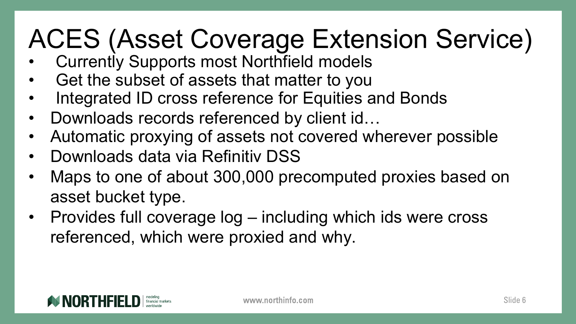# ACES (Asset Coverage Extension Service)

- Currently Supports most Northfield models
- Get the subset of assets that matter to you
- Integrated ID cross reference for Equities and Bonds
- Downloads records referenced by client id...
- Automatic proxying of assets not covered wherever possible
- Downloads data via Refinitiv DSS
- Maps to one of about 300,000 precomputed proxies based on asset bucket type.
- Provides full coverage log including which ids were cross referenced, which were proxied and why.

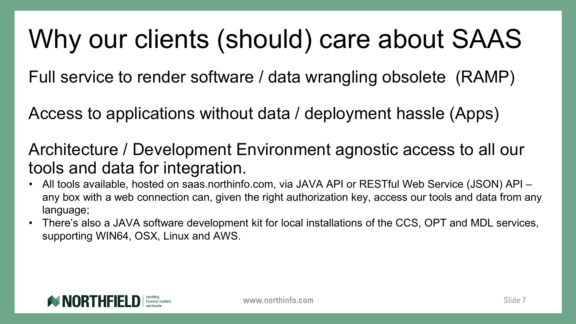### Why our clients (should) care about SAAS

Full service to render software / data wrangling obsolete (RAMP)

Access to applications without data / deployment hassle (Apps)

Architecture / Development Environment agnostic access to all our tools and data for integration.

- All tools available, hosted on saas.northinfo.com, via JAVA API or RESTful Web Service (JSON) API any box with a web connection can, given the right authorization key, access our tools and data from any language;
- There's also a JAVA software development kit for local installations of the CCS, OPT and MDL services, supporting WIN64, OSX, Linux and AWS.

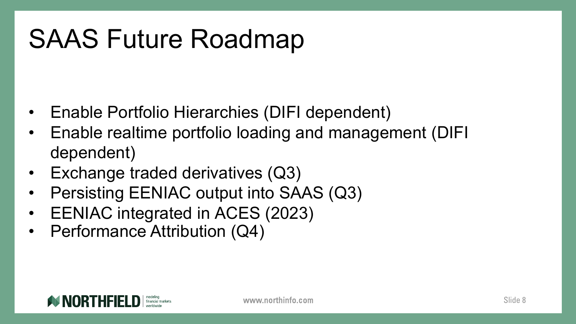## SAAS Future Roadmap

- Enable Portfolio Hierarchies (DIFI dependent)
- Enable realtime portfolio loading and management (DIFI dependent)
- Exchange traded derivatives (Q3)
- Persisting EENIAC output into SAAS (Q3)
- EENIAC integrated in ACES (2023)
- Performance Attribution (Q4)

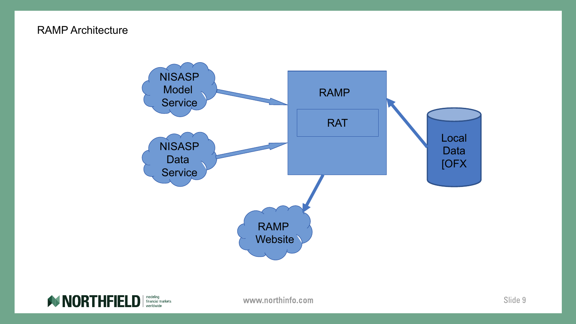#### RAMP Architecture



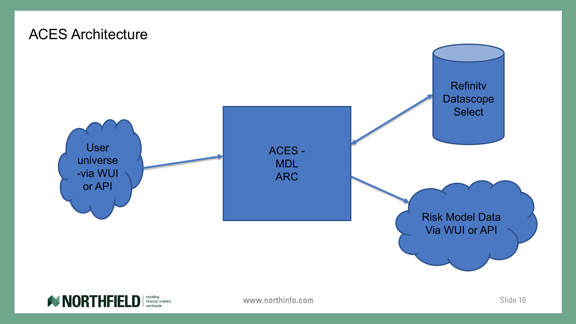